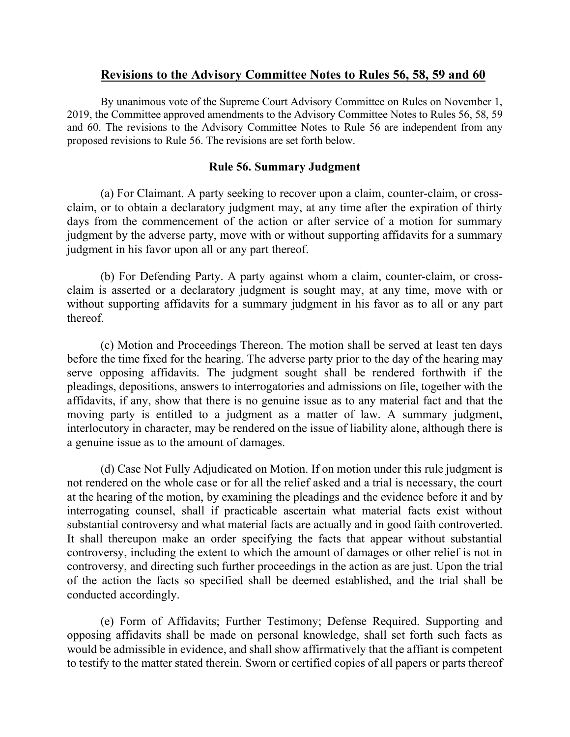# **Revisions to the Advisory Committee Notes to Rules 56, 58, 59 and 60**

By unanimous vote of the Supreme Court Advisory Committee on Rules on November 1, 2019, the Committee approved amendments to the Advisory Committee Notes to Rules 56, 58, 59 and 60. The revisions to the Advisory Committee Notes to Rule 56 are independent from any proposed revisions to Rule 56. The revisions are set forth below.

## **Rule 56. Summary Judgment**

(a) For Claimant. A party seeking to recover upon a claim, counter-claim, or crossclaim, or to obtain a declaratory judgment may, at any time after the expiration of thirty days from the commencement of the action or after service of a motion for summary judgment by the adverse party, move with or without supporting affidavits for a summary judgment in his favor upon all or any part thereof.

(b) For Defending Party. A party against whom a claim, counter-claim, or crossclaim is asserted or a declaratory judgment is sought may, at any time, move with or without supporting affidavits for a summary judgment in his favor as to all or any part thereof.

(c) Motion and Proceedings Thereon. The motion shall be served at least ten days before the time fixed for the hearing. The adverse party prior to the day of the hearing may serve opposing affidavits. The judgment sought shall be rendered forthwith if the pleadings, depositions, answers to interrogatories and admissions on file, together with the affidavits, if any, show that there is no genuine issue as to any material fact and that the moving party is entitled to a judgment as a matter of law. A summary judgment, interlocutory in character, may be rendered on the issue of liability alone, although there is a genuine issue as to the amount of damages.

(d) Case Not Fully Adjudicated on Motion. If on motion under this rule judgment is not rendered on the whole case or for all the relief asked and a trial is necessary, the court at the hearing of the motion, by examining the pleadings and the evidence before it and by interrogating counsel, shall if practicable ascertain what material facts exist without substantial controversy and what material facts are actually and in good faith controverted. It shall thereupon make an order specifying the facts that appear without substantial controversy, including the extent to which the amount of damages or other relief is not in controversy, and directing such further proceedings in the action as are just. Upon the trial of the action the facts so specified shall be deemed established, and the trial shall be conducted accordingly.

(e) Form of Affidavits; Further Testimony; Defense Required. Supporting and opposing affidavits shall be made on personal knowledge, shall set forth such facts as would be admissible in evidence, and shall show affirmatively that the affiant is competent to testify to the matter stated therein. Sworn or certified copies of all papers or parts thereof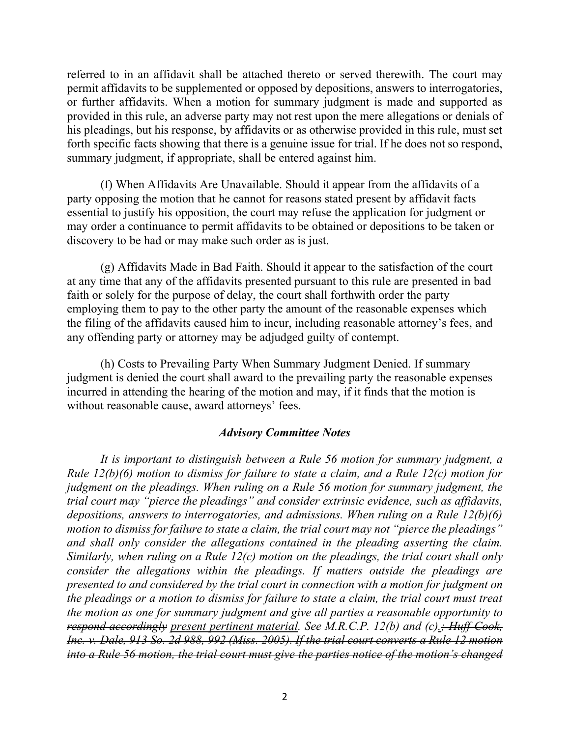referred to in an affidavit shall be attached thereto or served therewith. The court may permit affidavits to be supplemented or opposed by depositions, answers to interrogatories, or further affidavits. When a motion for summary judgment is made and supported as provided in this rule, an adverse party may not rest upon the mere allegations or denials of his pleadings, but his response, by affidavits or as otherwise provided in this rule, must set forth specific facts showing that there is a genuine issue for trial. If he does not so respond, summary judgment, if appropriate, shall be entered against him.

(f) When Affidavits Are Unavailable. Should it appear from the affidavits of a party opposing the motion that he cannot for reasons stated present by affidavit facts essential to justify his opposition, the court may refuse the application for judgment or may order a continuance to permit affidavits to be obtained or depositions to be taken or discovery to be had or may make such order as is just.

(g) Affidavits Made in Bad Faith. Should it appear to the satisfaction of the court at any time that any of the affidavits presented pursuant to this rule are presented in bad faith or solely for the purpose of delay, the court shall forthwith order the party employing them to pay to the other party the amount of the reasonable expenses which the filing of the affidavits caused him to incur, including reasonable attorney's fees, and any offending party or attorney may be adjudged guilty of contempt.

(h) Costs to Prevailing Party When Summary Judgment Denied. If summary judgment is denied the court shall award to the prevailing party the reasonable expenses incurred in attending the hearing of the motion and may, if it finds that the motion is without reasonable cause, award attorneys' fees.

#### *Advisory Committee Notes*

*It is important to distinguish between a Rule 56 motion for summary judgment, a Rule 12(b)(6) motion to dismiss for failure to state a claim, and a Rule 12(c) motion for judgment on the pleadings. When ruling on a Rule 56 motion for summary judgment, the trial court may "pierce the pleadings" and consider extrinsic evidence, such as affidavits, depositions, answers to interrogatories, and admissions. When ruling on a Rule 12(b)(6) motion to dismiss for failure to state a claim, the trial court may not "pierce the pleadings" and shall only consider the allegations contained in the pleading asserting the claim. Similarly, when ruling on a Rule 12(c) motion on the pleadings, the trial court shall only consider the allegations within the pleadings. If matters outside the pleadings are presented to and considered by the trial court in connection with a motion for judgment on the pleadings or a motion to dismiss for failure to state a claim, the trial court must treat the motion as one for summary judgment and give all parties a reasonable opportunity to respond accordingly present pertinent material. See M.R.C.P. 12(b) and (c).; Huff-Cook, Inc. v. Dale, 913 So. 2d 988, 992 (Miss. 2005). If the trial court converts a Rule 12 motion into a Rule 56 motion, the trial court must give the parties notice of the motion's changed*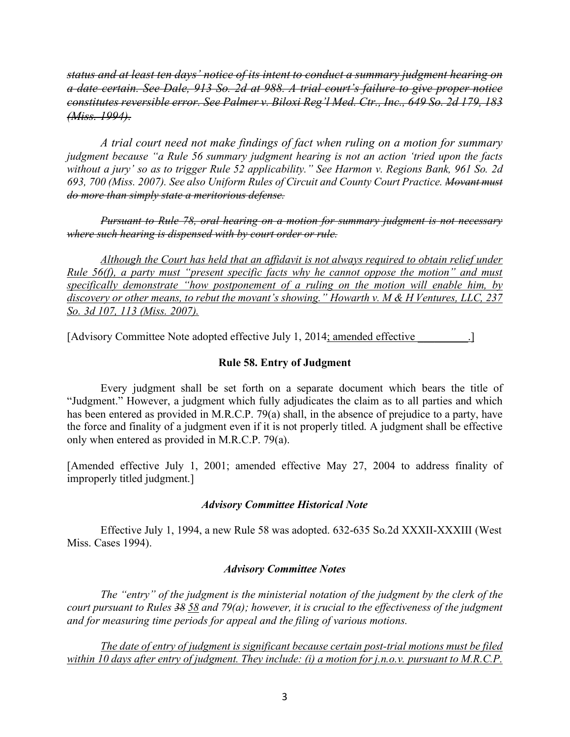*status and at least ten days' notice of its intent to conduct a summary judgment hearing on a date certain. See Dale, 913 So. 2d at 988. A trial court's failure to give proper notice constitutes reversible error. See Palmer v. Biloxi Reg'l Med. Ctr., Inc., 649 So. 2d 179, 183 (Miss. 1994).*

*A trial court need not make findings of fact when ruling on a motion for summary judgment because "a Rule 56 summary judgment hearing is not an action 'tried upon the facts without a jury' so as to trigger Rule 52 applicability." See Harmon v. Regions Bank, 961 So. 2d 693, 700 (Miss. 2007). See also Uniform Rules of Circuit and County Court Practice. Movant must do more than simply state a meritorious defense.* 

*Pursuant to Rule 78, oral hearing on a motion for summary judgment is not necessary where such hearing is dispensed with by court order or rule.* 

*Although the Court has held that an affidavit is not always required to obtain relief under Rule 56(f), a party must "present specific facts why he cannot oppose the motion" and must specifically demonstrate "how postponement of a ruling on the motion will enable him, by discovery or other means, to rebut the movant's showing." Howarth v. M & H Ventures, LLC, 237 So. 3d 107, 113 (Miss. 2007).*

[Advisory Committee Note adopted effective July 1, 2014; amended effective \_\_\_\_\_\_\_\_\_.]

## **Rule 58. Entry of Judgment**

Every judgment shall be set forth on a separate document which bears the title of "Judgment." However, a judgment which fully adjudicates the claim as to all parties and which has been entered as provided in M.R.C.P. 79(a) shall, in the absence of prejudice to a party, have the force and finality of a judgment even if it is not properly titled. A judgment shall be effective only when entered as provided in M.R.C.P. 79(a).

[Amended effective July 1, 2001; amended effective May 27, 2004 to address finality of improperly titled judgment.]

### *Advisory Committee Historical Note*

Effective July 1, 1994, a new Rule 58 was adopted. 632-635 So.2d XXXII-XXXIII (West Miss. Cases 1994).

### *Advisory Committee Notes*

*The "entry" of the judgment is the ministerial notation of the judgment by the clerk of the court pursuant to Rules 38 58 and 79(a); however, it is crucial to the effectiveness of the judgment and for measuring time periods for appeal and the filing of various motions.* 

*The date of entry of judgment is significant because certain post-trial motions must be filed within 10 days after entry of judgment. They include: (i) a motion for j.n.o.v. pursuant to M.R.C.P.*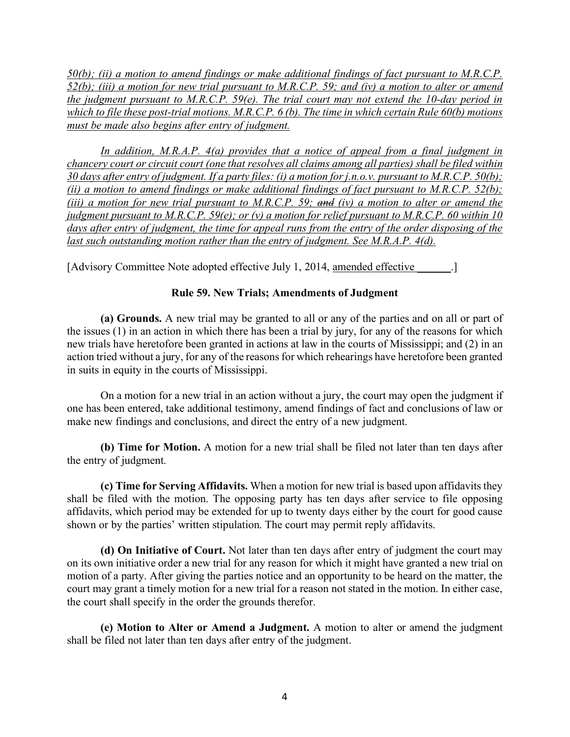*50(b); (ii) a motion to amend findings or make additional findings of fact pursuant to M.R.C.P. 52(b); (iii) a motion for new trial pursuant to M.R.C.P. 59; and (iv) a motion to alter or amend the judgment pursuant to M.R.C.P. 59(e). The trial court may not extend the 10-day period in which to file these post-trial motions. M.R.C.P. 6 (b). The time in which certain Rule 60(b) motions must be made also begins after entry of judgment.*

*In addition, M.R.A.P. 4(a) provides that a notice of appeal from a final judgment in chancery court or circuit court (one that resolves all claims among all parties) shall be filed within 30 days after entry of judgment. If a party files: (i) a motion for j.n.o.v. pursuant to M.R.C.P. 50(b); (ii) a motion to amend findings or make additional findings of fact pursuant to M.R.C.P. 52(b); (iii) a motion for new trial pursuant to M.R.C.P. 59; and (iv) a motion to alter or amend the judgment pursuant to M.R.C.P. 59(e); or (v) a motion for relief pursuant to M.R.C.P. 60 within 10 days after entry of judgment, the time for appeal runs from the entry of the order disposing of the last such outstanding motion rather than the entry of judgment. See M.R.A.P. 4(d).*

[Advisory Committee Note adopted effective July 1, 2014, amended effective \_\_\_\_\_\_.]

# **Rule 59. New Trials; Amendments of Judgment**

**(a) Grounds.** A new trial may be granted to all or any of the parties and on all or part of the issues (1) in an action in which there has been a trial by jury, for any of the reasons for which new trials have heretofore been granted in actions at law in the courts of Mississippi; and (2) in an action tried without a jury, for any of the reasons for which rehearings have heretofore been granted in suits in equity in the courts of Mississippi.

On a motion for a new trial in an action without a jury, the court may open the judgment if one has been entered, take additional testimony, amend findings of fact and conclusions of law or make new findings and conclusions, and direct the entry of a new judgment.

**(b) Time for Motion.** A motion for a new trial shall be filed not later than ten days after the entry of judgment.

**(c) Time for Serving Affidavits.** When a motion for new trial is based upon affidavits they shall be filed with the motion. The opposing party has ten days after service to file opposing affidavits, which period may be extended for up to twenty days either by the court for good cause shown or by the parties' written stipulation. The court may permit reply affidavits.

**(d) On Initiative of Court.** Not later than ten days after entry of judgment the court may on its own initiative order a new trial for any reason for which it might have granted a new trial on motion of a party. After giving the parties notice and an opportunity to be heard on the matter, the court may grant a timely motion for a new trial for a reason not stated in the motion. In either case, the court shall specify in the order the grounds therefor.

**(e) Motion to Alter or Amend a Judgment.** A motion to alter or amend the judgment shall be filed not later than ten days after entry of the judgment.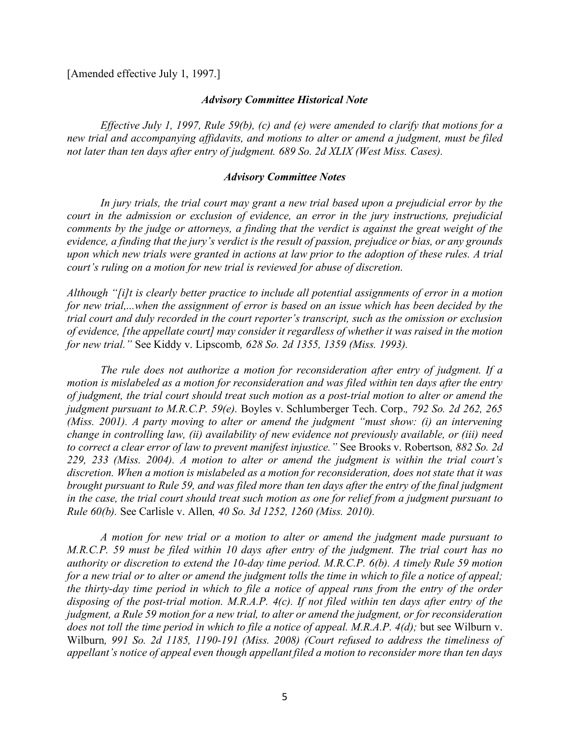[Amended effective July 1, 1997.]

#### *Advisory Committee Historical Note*

*Effective July 1, 1997, Rule 59(b), (c) and (e) were amended to clarify that motions for a new trial and accompanying affidavits, and motions to alter or amend a judgment, must be filed not later than ten days after entry of judgment. 689 So. 2d XLIX (West Miss. Cases).* 

#### *Advisory Committee Notes*

*In jury trials, the trial court may grant a new trial based upon a prejudicial error by the court in the admission or exclusion of evidence, an error in the jury instructions, prejudicial comments by the judge or attorneys, a finding that the verdict is against the great weight of the evidence, a finding that the jury's verdict is the result of passion, prejudice or bias, or any grounds upon which new trials were granted in actions at law prior to the adoption of these rules. A trial court's ruling on a motion for new trial is reviewed for abuse of discretion.* 

*Although "[i]t is clearly better practice to include all potential assignments of error in a motion for new trial,...when the assignment of error is based on an issue which has been decided by the trial court and duly recorded in the court reporter's transcript, such as the omission or exclusion of evidence, [the appellate court] may consider it regardless of whether it was raised in the motion for new trial."* See Kiddy v. Lipscomb*, 628 So. 2d 1355, 1359 (Miss. 1993).* 

*The rule does not authorize a motion for reconsideration after entry of judgment. If a motion is mislabeled as a motion for reconsideration and was filed within ten days after the entry of judgment, the trial court should treat such motion as a post-trial motion to alter or amend the judgment pursuant to M.R.C.P. 59(e).* Boyles v. Schlumberger Tech. Corp.*, 792 So. 2d 262, 265 (Miss. 2001). A party moving to alter or amend the judgment "must show: (i) an intervening change in controlling law, (ii) availability of new evidence not previously available, or (iii) need to correct a clear error of law to prevent manifest injustice."* See Brooks v. Robertson*, 882 So. 2d 229, 233 (Miss. 2004). A motion to alter or amend the judgment is within the trial court's discretion. When a motion is mislabeled as a motion for reconsideration, does not state that it was brought pursuant to Rule 59, and was filed more than ten days after the entry of the final judgment in the case, the trial court should treat such motion as one for relief from a judgment pursuant to Rule 60(b).* See Carlisle v. Allen*, 40 So. 3d 1252, 1260 (Miss. 2010).* 

*A motion for new trial or a motion to alter or amend the judgment made pursuant to M.R.C.P. 59 must be filed within 10 days after entry of the judgment. The trial court has no authority or discretion to extend the 10-day time period. M.R.C.P. 6(b). A timely Rule 59 motion for a new trial or to alter or amend the judgment tolls the time in which to file a notice of appeal; the thirty-day time period in which to file a notice of appeal runs from the entry of the order disposing of the post-trial motion. M.R.A.P. 4(c). If not filed within ten days after entry of the judgment, a Rule 59 motion for a new trial, to alter or amend the judgment, or for reconsideration does not toll the time period in which to file a notice of appeal. M.R.A.P. 4(d);* but see Wilburn v. Wilburn*, 991 So. 2d 1185, 1190-191 (Miss. 2008) (Court refused to address the timeliness of appellant's notice of appeal even though appellant filed a motion to reconsider more than ten days*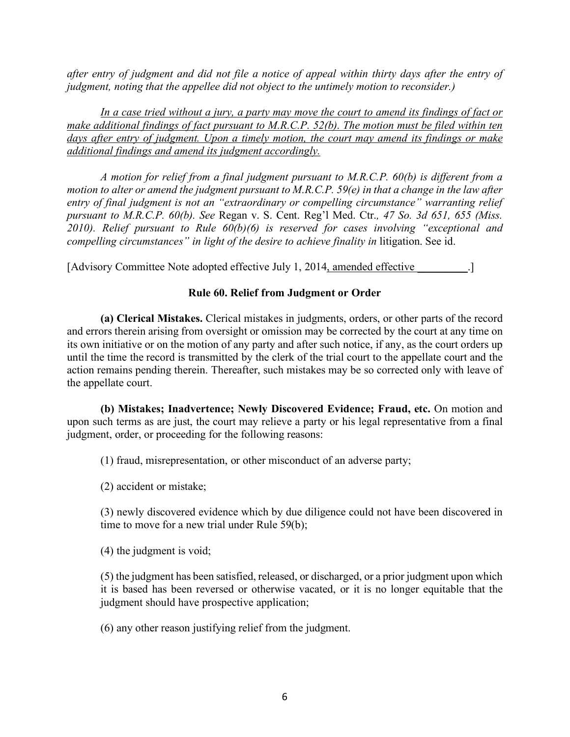*after entry of judgment and did not file a notice of appeal within thirty days after the entry of judgment, noting that the appellee did not object to the untimely motion to reconsider.)* 

*In a case tried without a jury, a party may move the court to amend its findings of fact or make additional findings of fact pursuant to M.R.C.P. 52(b). The motion must be filed within ten days after entry of judgment. Upon a timely motion, the court may amend its findings or make additional findings and amend its judgment accordingly.* 

*A motion for relief from a final judgment pursuant to M.R.C.P. 60(b) is different from a motion to alter or amend the judgment pursuant to M.R.C.P. 59(e) in that a change in the law after entry of final judgment is not an "extraordinary or compelling circumstance" warranting relief pursuant to M.R.C.P. 60(b). See* Regan v. S. Cent. Reg'l Med. Ctr.*, 47 So. 3d 651, 655 (Miss. 2010). Relief pursuant to Rule 60(b)(6) is reserved for cases involving "exceptional and compelling circumstances*" in light of the desire to achieve finality in litigation. See id.

[Advisory Committee Note adopted effective July 1, 2014, amended effective \_\_\_\_\_\_\_\_\_.]

### **Rule 60. Relief from Judgment or Order**

**(a) Clerical Mistakes.** Clerical mistakes in judgments, orders, or other parts of the record and errors therein arising from oversight or omission may be corrected by the court at any time on its own initiative or on the motion of any party and after such notice, if any, as the court orders up until the time the record is transmitted by the clerk of the trial court to the appellate court and the action remains pending therein. Thereafter, such mistakes may be so corrected only with leave of the appellate court.

**(b) Mistakes; Inadvertence; Newly Discovered Evidence; Fraud, etc.** On motion and upon such terms as are just, the court may relieve a party or his legal representative from a final judgment, order, or proceeding for the following reasons:

(1) fraud, misrepresentation, or other misconduct of an adverse party;

(2) accident or mistake;

(3) newly discovered evidence which by due diligence could not have been discovered in time to move for a new trial under Rule 59(b);

(4) the judgment is void;

(5) the judgment has been satisfied, released, or discharged, or a prior judgment upon which it is based has been reversed or otherwise vacated, or it is no longer equitable that the judgment should have prospective application;

(6) any other reason justifying relief from the judgment.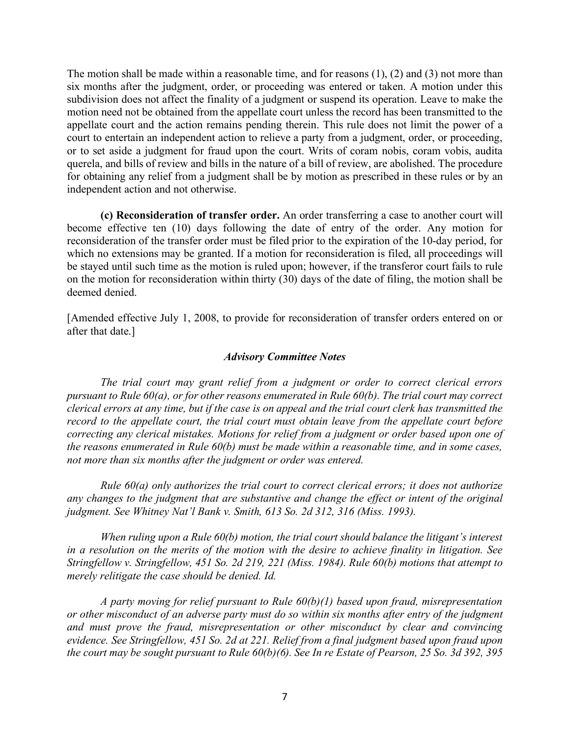The motion shall be made within a reasonable time, and for reasons (1), (2) and (3) not more than six months after the judgment, order, or proceeding was entered or taken. A motion under this subdivision does not affect the finality of a judgment or suspend its operation. Leave to make the motion need not be obtained from the appellate court unless the record has been transmitted to the appellate court and the action remains pending therein. This rule does not limit the power of a court to entertain an independent action to relieve a party from a judgment, order, or proceeding, or to set aside a judgment for fraud upon the court. Writs of coram nobis, coram vobis, audita querela, and bills of review and bills in the nature of a bill of review, are abolished. The procedure for obtaining any relief from a judgment shall be by motion as prescribed in these rules or by an independent action and not otherwise.

**(c) Reconsideration of transfer order.** An order transferring a case to another court will become effective ten (10) days following the date of entry of the order. Any motion for reconsideration of the transfer order must be filed prior to the expiration of the 10-day period, for which no extensions may be granted. If a motion for reconsideration is filed, all proceedings will be stayed until such time as the motion is ruled upon; however, if the transferor court fails to rule on the motion for reconsideration within thirty (30) days of the date of filing, the motion shall be deemed denied.

[Amended effective July 1, 2008, to provide for reconsideration of transfer orders entered on or after that date.]

#### *Advisory Committee Notes*

*The trial court may grant relief from a judgment or order to correct clerical errors pursuant to Rule 60(a), or for other reasons enumerated in Rule 60(b). The trial court may correct clerical errors at any time, but if the case is on appeal and the trial court clerk has transmitted the record to the appellate court, the trial court must obtain leave from the appellate court before correcting any clerical mistakes. Motions for relief from a judgment or order based upon one of the reasons enumerated in Rule 60(b) must be made within a reasonable time, and in some cases, not more than six months after the judgment or order was entered.* 

*Rule 60(a) only authorizes the trial court to correct clerical errors; it does not authorize any changes to the judgment that are substantive and change the effect or intent of the original judgment. See Whitney Nat'l Bank v. Smith, 613 So. 2d 312, 316 (Miss. 1993).* 

*When ruling upon a Rule 60(b) motion, the trial court should balance the litigant's interest in a resolution on the merits of the motion with the desire to achieve finality in litigation. See Stringfellow v. Stringfellow, 451 So. 2d 219, 221 (Miss. 1984). Rule 60(b) motions that attempt to merely relitigate the case should be denied. Id.* 

*A party moving for relief pursuant to Rule 60(b)(1) based upon fraud, misrepresentation or other misconduct of an adverse party must do so within six months after entry of the judgment and must prove the fraud, misrepresentation or other misconduct by clear and convincing evidence. See Stringfellow, 451 So. 2d at 221. Relief from a final judgment based upon fraud upon the court may be sought pursuant to Rule 60(b)(6). See In re Estate of Pearson, 25 So. 3d 392, 395*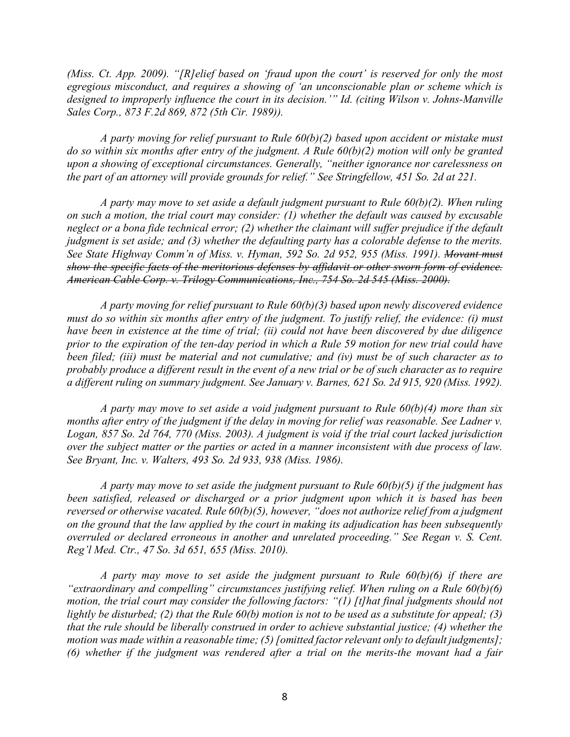*(Miss. Ct. App. 2009). "[R]elief based on 'fraud upon the court' is reserved for only the most egregious misconduct, and requires a showing of 'an unconscionable plan or scheme which is designed to improperly influence the court in its decision.'" Id. (citing Wilson v. Johns-Manville Sales Corp., 873 F.2d 869, 872 (5th Cir. 1989)).* 

*A party moving for relief pursuant to Rule 60(b)(2) based upon accident or mistake must do so within six months after entry of the judgment. A Rule 60(b)(2) motion will only be granted upon a showing of exceptional circumstances. Generally, "neither ignorance nor carelessness on the part of an attorney will provide grounds for relief." See Stringfellow, 451 So. 2d at 221.* 

*A party may move to set aside a default judgment pursuant to Rule 60(b)(2). When ruling on such a motion, the trial court may consider: (1) whether the default was caused by excusable neglect or a bona fide technical error; (2) whether the claimant will suffer prejudice if the default judgment is set aside; and (3) whether the defaulting party has a colorable defense to the merits. See State Highway Comm'n of Miss. v. Hyman, 592 So. 2d 952, 955 (Miss. 1991). Movant must show the specific facts of the meritorious defenses by affidavit or other sworn form of evidence. American Cable Corp. v. Trilogy Communications, Inc., 754 So. 2d 545 (Miss. 2000).*

*A party moving for relief pursuant to Rule 60(b)(3) based upon newly discovered evidence must do so within six months after entry of the judgment. To justify relief, the evidence: (i) must have been in existence at the time of trial; (ii) could not have been discovered by due diligence prior to the expiration of the ten-day period in which a Rule 59 motion for new trial could have been filed; (iii) must be material and not cumulative; and (iv) must be of such character as to probably produce a different result in the event of a new trial or be of such character as to require a different ruling on summary judgment. See January v. Barnes, 621 So. 2d 915, 920 (Miss. 1992).* 

*A party may move to set aside a void judgment pursuant to Rule 60(b)(4) more than six months after entry of the judgment if the delay in moving for relief was reasonable. See Ladner v. Logan, 857 So. 2d 764, 770 (Miss. 2003). A judgment is void if the trial court lacked jurisdiction over the subject matter or the parties or acted in a manner inconsistent with due process of law. See Bryant, Inc. v. Walters, 493 So. 2d 933, 938 (Miss. 1986).* 

*A party may move to set aside the judgment pursuant to Rule 60(b)(5) if the judgment has been satisfied, released or discharged or a prior judgment upon which it is based has been reversed or otherwise vacated. Rule 60(b)(5), however, "does not authorize relief from a judgment on the ground that the law applied by the court in making its adjudication has been subsequently overruled or declared erroneous in another and unrelated proceeding." See Regan v. S. Cent. Reg'l Med. Ctr., 47 So. 3d 651, 655 (Miss. 2010).* 

*A party may move to set aside the judgment pursuant to Rule 60(b)(6) if there are "extraordinary and compelling" circumstances justifying relief. When ruling on a Rule 60(b)(6) motion, the trial court may consider the following factors: "(1) [t]hat final judgments should not lightly be disturbed; (2) that the Rule 60(b) motion is not to be used as a substitute for appeal; (3) that the rule should be liberally construed in order to achieve substantial justice; (4) whether the motion was made within a reasonable time; (5) [omitted factor relevant only to default judgments]; (6) whether if the judgment was rendered after a trial on the merits-the movant had a fair*